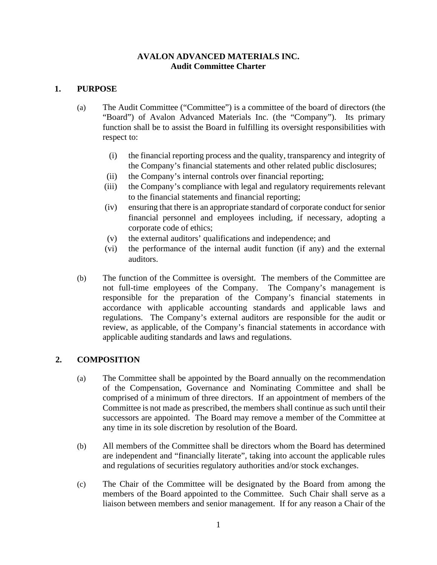### **AVALON ADVANCED MATERIALS INC. Audit Committee Charter**

### **1. PURPOSE**

- (a) The Audit Committee ("Committee") is a committee of the board of directors (the "Board") of Avalon Advanced Materials Inc. (the "Company"). Its primary function shall be to assist the Board in fulfilling its oversight responsibilities with respect to:
	- (i) the financial reporting process and the quality, transparency and integrity of the Company's financial statements and other related public disclosures;
	- (ii) the Company's internal controls over financial reporting;
	- (iii) the Company's compliance with legal and regulatory requirements relevant to the financial statements and financial reporting;
	- (iv) ensuring that there is an appropriate standard of corporate conduct for senior financial personnel and employees including, if necessary, adopting a corporate code of ethics;
	- (v) the external auditors' qualifications and independence; and
	- (vi) the performance of the internal audit function (if any) and the external auditors.
- (b) The function of the Committee is oversight. The members of the Committee are not full-time employees of the Company. The Company's management is responsible for the preparation of the Company's financial statements in accordance with applicable accounting standards and applicable laws and regulations. The Company's external auditors are responsible for the audit or review, as applicable, of the Company's financial statements in accordance with applicable auditing standards and laws and regulations.

# **2. COMPOSITION**

- (a) The Committee shall be appointed by the Board annually on the recommendation of the Compensation, Governance and Nominating Committee and shall be comprised of a minimum of three directors. If an appointment of members of the Committee is not made as prescribed, the members shall continue as such until their successors are appointed. The Board may remove a member of the Committee at any time in its sole discretion by resolution of the Board.
- (b) All members of the Committee shall be directors whom the Board has determined are independent and "financially literate", taking into account the applicable rules and regulations of securities regulatory authorities and/or stock exchanges.
- (c) The Chair of the Committee will be designated by the Board from among the members of the Board appointed to the Committee. Such Chair shall serve as a liaison between members and senior management. If for any reason a Chair of the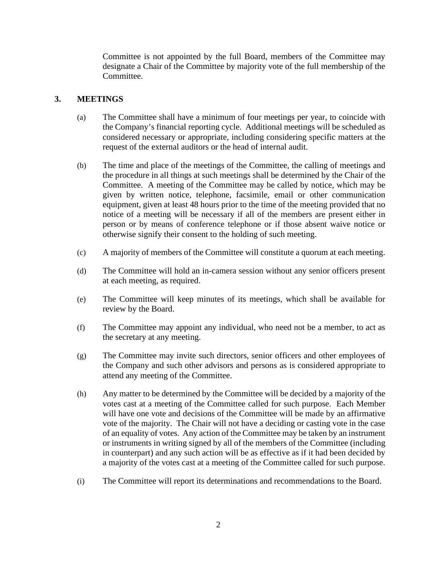Committee is not appointed by the full Board, members of the Committee may designate a Chair of the Committee by majority vote of the full membership of the Committee.

# **3. MEETINGS**

- (a) The Committee shall have a minimum of four meetings per year, to coincide with the Company's financial reporting cycle. Additional meetings will be scheduled as considered necessary or appropriate, including considering specific matters at the request of the external auditors or the head of internal audit.
- (b) The time and place of the meetings of the Committee, the calling of meetings and the procedure in all things at such meetings shall be determined by the Chair of the Committee. A meeting of the Committee may be called by notice, which may be given by written notice, telephone, facsimile, email or other communication equipment, given at least 48 hours prior to the time of the meeting provided that no notice of a meeting will be necessary if all of the members are present either in person or by means of conference telephone or if those absent waive notice or otherwise signify their consent to the holding of such meeting.
- (c) A majority of members of the Committee will constitute a quorum at each meeting.
- (d) The Committee will hold an in-camera session without any senior officers present at each meeting, as required.
- (e) The Committee will keep minutes of its meetings, which shall be available for review by the Board.
- (f) The Committee may appoint any individual, who need not be a member, to act as the secretary at any meeting.
- (g) The Committee may invite such directors, senior officers and other employees of the Company and such other advisors and persons as is considered appropriate to attend any meeting of the Committee.
- (h) Any matter to be determined by the Committee will be decided by a majority of the votes cast at a meeting of the Committee called for such purpose. Each Member will have one vote and decisions of the Committee will be made by an affirmative vote of the majority. The Chair will not have a deciding or casting vote in the case of an equality of votes. Any action of the Committee may be taken by an instrument or instruments in writing signed by all of the members of the Committee (including in counterpart) and any such action will be as effective as if it had been decided by a majority of the votes cast at a meeting of the Committee called for such purpose.
- (i) The Committee will report its determinations and recommendations to the Board.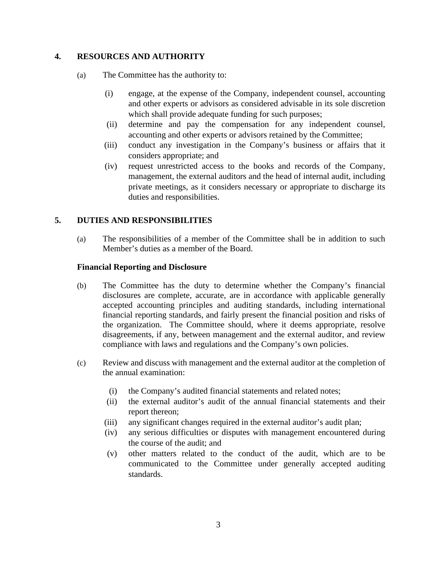# **4. RESOURCES AND AUTHORITY**

- (a) The Committee has the authority to:
	- (i) engage, at the expense of the Company, independent counsel, accounting and other experts or advisors as considered advisable in its sole discretion which shall provide adequate funding for such purposes;
	- (ii) determine and pay the compensation for any independent counsel, accounting and other experts or advisors retained by the Committee;
	- (iii) conduct any investigation in the Company's business or affairs that it considers appropriate; and
	- (iv) request unrestricted access to the books and records of the Company, management, the external auditors and the head of internal audit, including private meetings, as it considers necessary or appropriate to discharge its duties and responsibilities.

# **5. DUTIES AND RESPONSIBILITIES**

(a) The responsibilities of a member of the Committee shall be in addition to such Member's duties as a member of the Board.

#### **Financial Reporting and Disclosure**

- (b) The Committee has the duty to determine whether the Company's financial disclosures are complete, accurate, are in accordance with applicable generally accepted accounting principles and auditing standards, including international financial reporting standards, and fairly present the financial position and risks of the organization. The Committee should, where it deems appropriate, resolve disagreements, if any, between management and the external auditor, and review compliance with laws and regulations and the Company's own policies.
- (c) Review and discuss with management and the external auditor at the completion of the annual examination:
	- (i) the Company's audited financial statements and related notes;
	- (ii) the external auditor's audit of the annual financial statements and their report thereon;
	- (iii) any significant changes required in the external auditor's audit plan;
	- (iv) any serious difficulties or disputes with management encountered during the course of the audit; and
	- (v) other matters related to the conduct of the audit, which are to be communicated to the Committee under generally accepted auditing standards.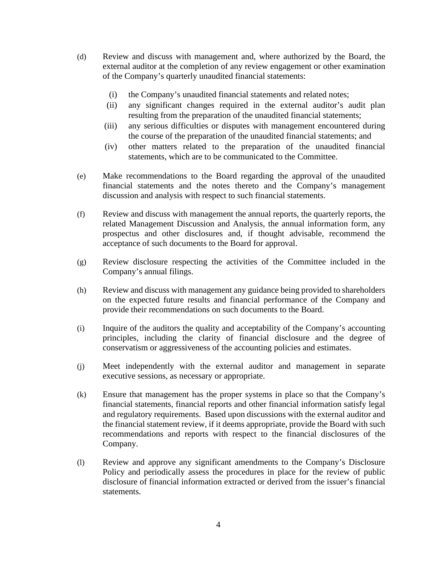- (d) Review and discuss with management and, where authorized by the Board, the external auditor at the completion of any review engagement or other examination of the Company's quarterly unaudited financial statements:
	- (i) the Company's unaudited financial statements and related notes;
	- (ii) any significant changes required in the external auditor's audit plan resulting from the preparation of the unaudited financial statements;
	- (iii) any serious difficulties or disputes with management encountered during the course of the preparation of the unaudited financial statements; and
	- (iv) other matters related to the preparation of the unaudited financial statements, which are to be communicated to the Committee.
- (e) Make recommendations to the Board regarding the approval of the unaudited financial statements and the notes thereto and the Company's management discussion and analysis with respect to such financial statements.
- (f) Review and discuss with management the annual reports, the quarterly reports, the related Management Discussion and Analysis, the annual information form, any prospectus and other disclosures and, if thought advisable, recommend the acceptance of such documents to the Board for approval.
- (g) Review disclosure respecting the activities of the Committee included in the Company's annual filings.
- (h) Review and discuss with management any guidance being provided to shareholders on the expected future results and financial performance of the Company and provide their recommendations on such documents to the Board.
- (i) Inquire of the auditors the quality and acceptability of the Company's accounting principles, including the clarity of financial disclosure and the degree of conservatism or aggressiveness of the accounting policies and estimates.
- (j) Meet independently with the external auditor and management in separate executive sessions, as necessary or appropriate.
- (k) Ensure that management has the proper systems in place so that the Company's financial statements, financial reports and other financial information satisfy legal and regulatory requirements. Based upon discussions with the external auditor and the financial statement review, if it deems appropriate, provide the Board with such recommendations and reports with respect to the financial disclosures of the Company.
- (l) Review and approve any significant amendments to the Company's Disclosure Policy and periodically assess the procedures in place for the review of public disclosure of financial information extracted or derived from the issuer's financial statements.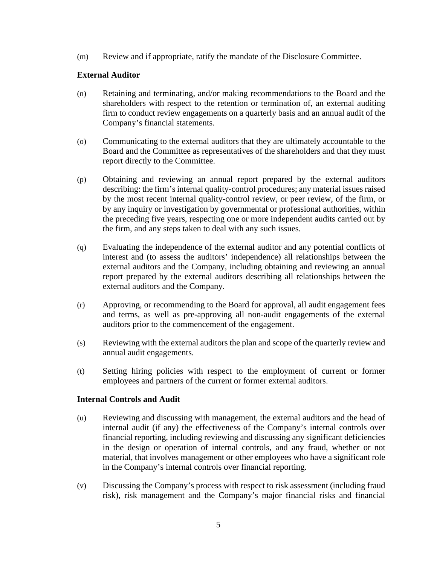(m) Review and if appropriate, ratify the mandate of the Disclosure Committee.

### **External Auditor**

- (n) Retaining and terminating, and/or making recommendations to the Board and the shareholders with respect to the retention or termination of, an external auditing firm to conduct review engagements on a quarterly basis and an annual audit of the Company's financial statements.
- (o) Communicating to the external auditors that they are ultimately accountable to the Board and the Committee as representatives of the shareholders and that they must report directly to the Committee.
- (p) Obtaining and reviewing an annual report prepared by the external auditors describing: the firm's internal quality-control procedures; any material issues raised by the most recent internal quality-control review, or peer review, of the firm, or by any inquiry or investigation by governmental or professional authorities, within the preceding five years, respecting one or more independent audits carried out by the firm, and any steps taken to deal with any such issues.
- (q) Evaluating the independence of the external auditor and any potential conflicts of interest and (to assess the auditors' independence) all relationships between the external auditors and the Company, including obtaining and reviewing an annual report prepared by the external auditors describing all relationships between the external auditors and the Company.
- (r) Approving, or recommending to the Board for approval, all audit engagement fees and terms, as well as pre-approving all non-audit engagements of the external auditors prior to the commencement of the engagement.
- (s) Reviewing with the external auditors the plan and scope of the quarterly review and annual audit engagements.
- (t) Setting hiring policies with respect to the employment of current or former employees and partners of the current or former external auditors.

#### **Internal Controls and Audit**

- (u) Reviewing and discussing with management, the external auditors and the head of internal audit (if any) the effectiveness of the Company's internal controls over financial reporting, including reviewing and discussing any significant deficiencies in the design or operation of internal controls, and any fraud, whether or not material, that involves management or other employees who have a significant role in the Company's internal controls over financial reporting.
- (v) Discussing the Company's process with respect to risk assessment (including fraud risk), risk management and the Company's major financial risks and financial